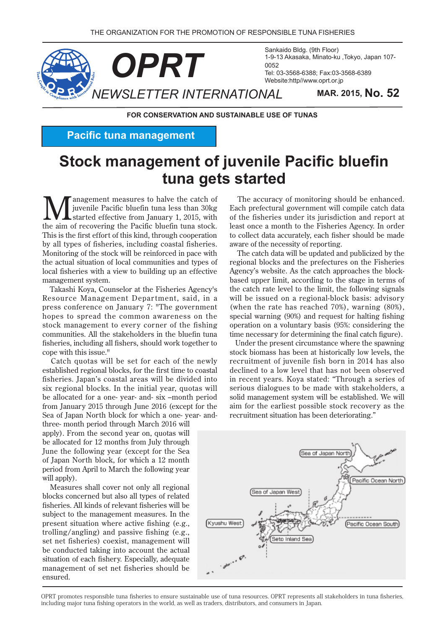

Sankaido Bldg. (9th Floor) 1-9-13 Akasaka, Minato-ku, Tokyo, Japan 107-Tel: 03-3568-6388: Fax: 03-3568-6389 Website:http//www.oprt.or.jp

**FOR CONSERVATION AND SUSTAINABLE USE OF TUNAS** 

**Pacific tuna management** 

# **Stock management of juvenile Pacific bluefin** tuna gets started

**M** anagement measures to halve the catch of<br>started effective from January 1, 2015, with<br>the sim of recevering the Besifie bluefin tune stock juvenile Pacific bluefin tuna less than 30kg started effective from January 1, 2015, with the aim of recovering the Pacific bluefin tuna stock. This is the first effort of this kind, through cooperation by all types of fisheries, including coastal fisheries. Monitoring of the stock will be reinforced in pace with the actual situation of local communities and types of local fisheries with a view to building up an effective management system.

Takashi Koya, Counselor at the Fisheries Agency's Resource Management Department, said, in a press conference on January 7: "The government hopes to spread the common awareness on the stock management to every corner of the fishing communities. All the stakeholders in the bluefin tuna fisheries, including all fishers, should work together to cope with this issue."

Catch quotas will be set for each of the newly established regional blocks, for the first time to coastal fisheries. Japan's coastal areas will be divided into six regional blocks. In the initial year, quotas will be allocated for a one- year- and- six -month period from January 2015 through June 2016 (except for the Sea of Japan North block for which a one- year- and-<br>three- month period through March 2016 will

apply). From the second year on, quotas will be allocated for 12 months from July through June the following year (except for the Sea of Japan North block, for which a 12 month period from April to March the following year will apply).

Measures shall cover not only all regional blocks concerned but also all types of related fisheries. All kinds of relevant fisheries will be subject to the management measures. In the present situation where active fishing (e.g., trolling/angling) and passive fishing  $(e.g.,$ set net fisheries) coexist, management will be conducted taking into account the actual situation of each fishery. Especially, adequate management of set net fisheries should be .ensured

The accuracy of monitoring should be enhanced. Each prefectural government will compile catch data of the fisheries under its iurisdiction and report at least once a month to the Fisheries Agency. In order to collect data accurately, each fisher should be made aware of the necessity of reporting.

The catch data will be updated and publicized by the regional blocks and the prefectures on the Fisheries based upper limit, according to the stage in terms of Agency's website. As the catch approaches the blockthe catch rate level to the limit, the following signals will be issued on a regional-block basis: advisory (when the rate has reached  $70\%$ ), warning  $(80\%)$ . special warning  $(90%)$  and request for halting fishing operation on a voluntary basis (95%: considering the time necessary for determining the final catch figure).

Under the present circumstance where the spawning stock biomass has been at historically low levels, the recruitment of juvenile fish born in 2014 has also declined to a low level that has not been observed in recent years. Koya stated: "Through a series of serious dialogues to be made with stakeholders, a solid management system will be established. We will aim for the earliest possible stock recovery as the recruitment situation has been deteriorating."



OPRT promotes responsible tuna fisheries to ensure sustainable use of tuna resources. OPRT represents all stakeholders in tuna fisheries, including major tuna fishing operators in the world, as well as traders, distributors, and consumers in Japan.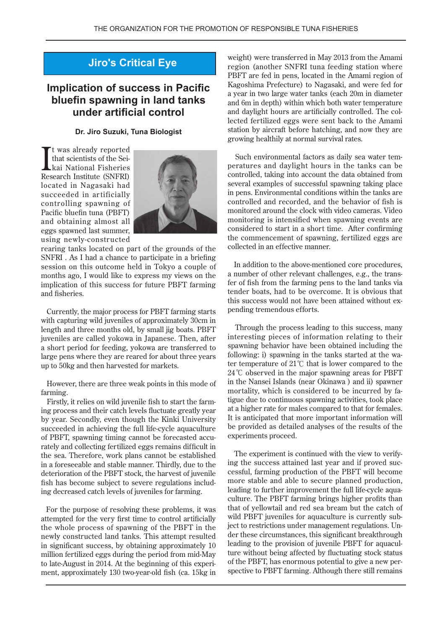# **Jiro's Critical Eye**

# **Implication of success in Pacific bluefin spawning in land tanks under artificial control**

#### **Dr. Jiro Suzuki, Tuna Biologist**

It was already reported<br>that scientists of the Seikai National Fisheries<br>Research Institute (SNFRI) t was already reported kai National Fisheries that scientists of the Seilocated in Nagasaki had succeeded in artificially controlling spawning of Pacific bluefin tuna (PBFT) and obtaining almost all eggs spawned last summer, using newly-constructed



rearing tanks located on part of the grounds of the SNFRI. As I had a chance to participate in a briefing session on this outcome held in Tokyo a couple of months ago, I would like to express my views on the implication of this success for future PBFT farming and fisheries.

Currently, the major process for PBFT farming starts with capturing wild juveniles of approximately 30cm in length and three months old, by small jig boats. PBFT juveniles are called yokowa in Japanese. Then, after a short period for feeding, yokowa are transferred to large pens where they are reared for about three years up to 50kg and then harvested for markets.

However, there are three weak points in this mode of farming.

Firstly, it relies on wild juvenile fish to start the farming process and their catch levels fluctuate greatly year by year. Secondly, even though the Kinki University succeeded in achieving the full life-cycle aquaculture rately and collecting fertilized eggs remains difficult in of PBFT, spawning timing cannot be forecasted accuthe sea. Therefore, work plans cannot be established in a foreseeable and stable manner. Thirdly, due to the deterioration of the PBFT stock, the harvest of juvenile ing decreased catch levels of juveniles for farming. fish has become subject to severe regulations includ-

For the purpose of resolving these problems, it was attempted for the very first time to control artificially the whole process of spawning of the PBFT in the newly constructed land tanks. This attempt resulted in significant success, by obtaining approximately 10 million fertilized eggs during the period from mid-May ment, approximately 130 two-year-old fish (ca. 15kg in to late-August in 2014. At the beginning of this experiweight) were transferred in May 2013 from the Amami region (another SNFRI tuna feeding station where PBFT are fed in pens, located in the Amami region of Kagoshima Prefecture) to Nagasaki, and were fed for a year in two large water tanks (each 20m in diameter and 6m in depth) within which both water temperature and daylight hours are artificially controlled. The collected fertilized eggs were sent back to the Amami station by aircraft before hatching, and now they are growing healthily at normal survival rates.

peratures and daylight hours in the tanks can be Such environmental factors as daily sea water temcontrolled, taking into account the data obtained from several examples of successful spawning taking place in pens. Environmental conditions within the tanks are controlled and recorded, and the behavior of fish is monitored around the clock with video cameras. Video monitoring is intensified when spawning events are considered to start in a short time. After confirming the commencement of spawning, fertilized eggs are collected in an effective manner.

In addition to the above-mentioned core procedures, a number of other relevant challenges, e.g., the trans-<br>fer of fish from the farming pens to the land tanks via tender boats, had to be overcome. It is obvious that this success would not have been attained without expending tremendous efforts.

Through the process leading to this success, many interesting pieces of information relating to their spawning behavior have been obtained including the ter temperature of 21 $\degree$ C that is lower compared to the following: i) spawning in the tanks started at the wa- $24^{\circ}$ C observed in the major spawning areas for PBFT in the Nansei Islands (near Okinawa) and ii) spawner tigue due to continuous spawning activities, took place mortality, which is considered to be incurred by faat a higher rate for males compared to that for females. It is anticipated that more important information will be provided as detailed analyses of the results of the experiments proceed.

cessful, farming production of the PBFT will become ing the success attained last year and if proved suc-The experiment is continued with the view to verifymore stable and able to secure planned production, leading to further improvement the full life-cycle aqua-<br>culture. The PBFT farming brings higher profits than that of yellowtail and red sea bream but the catch of der these circumstances, this significant breakthrough ject to restrictions under management regulations. Unwild PBFT juveniles for aquaculture is currently subture without being affected by fluctuating stock status leading to the provision of juvenile PBFT for aquaculspective to PBFT farming. Although there still remains of the PBFT, has enormous potential to give a new per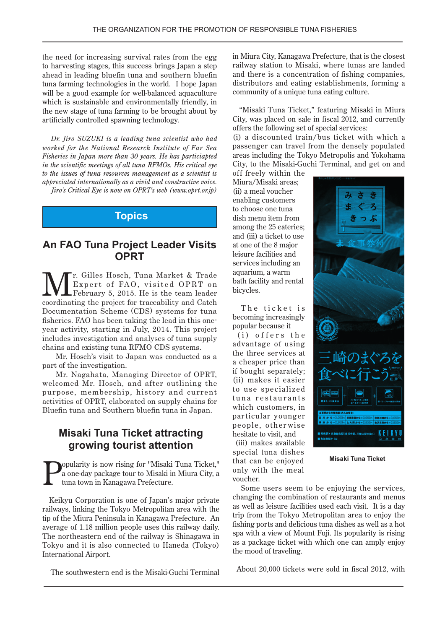the need for increasing survival rates from the egg to harvesting stages, this success brings Japan a step ahead in leading bluefin tuna and southern bluefin tuna farming technologies in the world. I hope Japan will be a good example for well-balanced aquaculture which is sustainable and environmentally friendly, in the new stage of tuna farming to be brought about by artificially controlled spawning technology.

*Dr. Jiro SUZUKI is a leading tuna scientist who had worked for the National Research Institute of Far Sea Fisheries in Japan more than 30 years. He has particiapted in the scientific meetings of all tuna RFMOs. His critical eye to the issues of tuna resources management as a scientist is appreciated internationally as a vivid and constructive voice. Jiro's Critical Eye is now on OPRT's web (www.oprt.or.jp)* 

**Topics**

## **An FAO Tuna Project Leader Visits OPRT**

r. Gilles Hosch, Tuna Market & Trade Expert of FAO, visited OPRT on February 5, 2015. He is the team leader coordinating the project for traceability and Catch Documentation Scheme (CDS) systems for tuna year activity, starting in July, 2014. This project fisheries. FAO has been taking the lead in this oneincludes investigation and analyses of tuna supply chains and existing tuna RFMO CDS systems.

Mr. Hosch's visit to Japan was conducted as a part of the investigation.

Mr. Nagahata, Managing Director of OPRT, welcomed Mr. Hosch, and after outlining the purpose, membership, history and current activities of OPRT, elaborated on supply chains for Bluefin tuna and Southern bluefin tuna in Japan.

# **Misaki Tuna Ticket attracting arowing tourist attention**

opularity is now rising for "Misaki Tuna Ticket," a one-day package tour to Misaki in Miura City, a tuna town in Kanagawa Prefecture.

Keikyu Corporation is one of Japan's major private railways, linking the Tokyo Metropolitan area with the tip of the Miura Peninsula in Kanagawa Prefecture. An average of 1.18 million people uses this railway daily. The northeastern end of the railway is Shinagawa in Tokyo and it is also connected to Haneda (Tokyo) International Airport.

The southwestern end is the Misaki-Guchi Terminal

in Miura City, Kanagawa Prefecture, that is the closest railway station to Misaki, where tunas are landed and there is a concentration of fishing companies, distributors and eating establishments, forming a community of a unique tuna eating culture.

"Misaki Tuna Ticket," featuring Misaki in Miura City, was placed on sale in fiscal  $2012$ , and currently offers the following set of special services:

 $(i)$  a discounted train/bus ticket with which a passenger can travel from the densely populated areas including the Tokyo Metropolis and Yokohama City, to the Misaki-Guchi Terminal, and get on and

off freely within the Miura/Misaki areas; (ii) a meal voucher enabling customers to choose one tuna dish menu item from among the 25 eateries; and (iii) a ticket to use at one of the 8 major leisure facilities and services including an aquarium, a warm bath facility and rental bicycles.

The ticket is becoming increasingly popular because it

 $(i)$  offers the advantage of using the three services at a cheaper price than if bought separately; (ii) makes it easier to use specialized tuna restaurants which customers, in particular younger people, otherwise hesitate to visit, and

(iii) makes available special tuna dishes that can be enjoyed only with the meal .voucher



**Ticket Tuna Misaki**

Some users seem to be enjoying the services. changing the combination of restaurants and menus as well as leisure facilities used each visit. It is a day trip from the Tokyo Metropolitan area to enjoy the fishing ports and delicious tuna dishes as well as a hot spa with a view of Mount Fuji. Its popularity is rising as a package ticket with which one can amply enjoy the mood of traveling.

About 20,000 tickets were sold in fiscal 2012, with